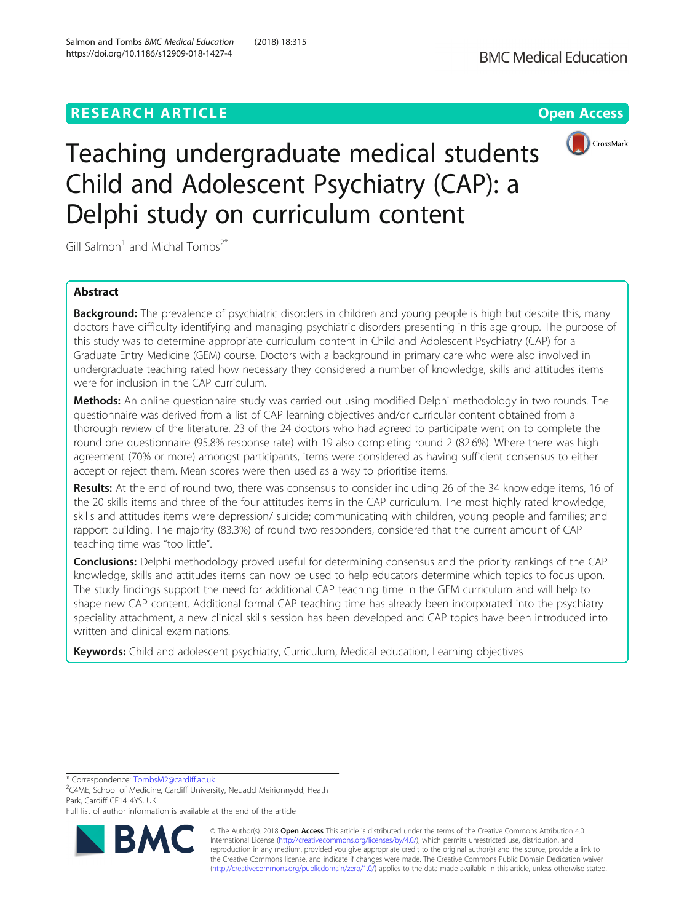# **RESEARCH ARTICLE Example 2018 12:30 THE Open Access**



# Teaching undergraduate medical students Child and Adolescent Psychiatry (CAP): a Delphi study on curriculum content

Gill Salmon<sup>1</sup> and Michal Tombs<sup>2\*</sup>

# Abstract

**Background:** The prevalence of psychiatric disorders in children and young people is high but despite this, many doctors have difficulty identifying and managing psychiatric disorders presenting in this age group. The purpose of this study was to determine appropriate curriculum content in Child and Adolescent Psychiatry (CAP) for a Graduate Entry Medicine (GEM) course. Doctors with a background in primary care who were also involved in undergraduate teaching rated how necessary they considered a number of knowledge, skills and attitudes items were for inclusion in the CAP curriculum.

Methods: An online questionnaire study was carried out using modified Delphi methodology in two rounds. The questionnaire was derived from a list of CAP learning objectives and/or curricular content obtained from a thorough review of the literature. 23 of the 24 doctors who had agreed to participate went on to complete the round one questionnaire (95.8% response rate) with 19 also completing round 2 (82.6%). Where there was high agreement (70% or more) amongst participants, items were considered as having sufficient consensus to either accept or reject them. Mean scores were then used as a way to prioritise items.

Results: At the end of round two, there was consensus to consider including 26 of the 34 knowledge items, 16 of the 20 skills items and three of the four attitudes items in the CAP curriculum. The most highly rated knowledge, skills and attitudes items were depression/ suicide; communicating with children, young people and families; and rapport building. The majority (83.3%) of round two responders, considered that the current amount of CAP teaching time was "too little".

**Conclusions:** Delphi methodology proved useful for determining consensus and the priority rankings of the CAP knowledge, skills and attitudes items can now be used to help educators determine which topics to focus upon. The study findings support the need for additional CAP teaching time in the GEM curriculum and will help to shape new CAP content. Additional formal CAP teaching time has already been incorporated into the psychiatry speciality attachment, a new clinical skills session has been developed and CAP topics have been introduced into written and clinical examinations.

Keywords: Child and adolescent psychiatry, Curriculum, Medical education, Learning objectives

\* Correspondence: [TombsM2@cardiff.ac.uk](mailto:TombsM2@cardiff.ac.uk) <sup>2</sup>

C4ME, School of Medicine, Cardiff University, Neuadd Meirionnydd, Heath Park, Cardiff CF14 4YS, UK

Full list of author information is available at the end of the article



© The Author(s). 2018 Open Access This article is distributed under the terms of the Creative Commons Attribution 4.0 International License [\(http://creativecommons.org/licenses/by/4.0/](http://creativecommons.org/licenses/by/4.0/)), which permits unrestricted use, distribution, and reproduction in any medium, provided you give appropriate credit to the original author(s) and the source, provide a link to the Creative Commons license, and indicate if changes were made. The Creative Commons Public Domain Dedication waiver [\(http://creativecommons.org/publicdomain/zero/1.0/](http://creativecommons.org/publicdomain/zero/1.0/)) applies to the data made available in this article, unless otherwise stated.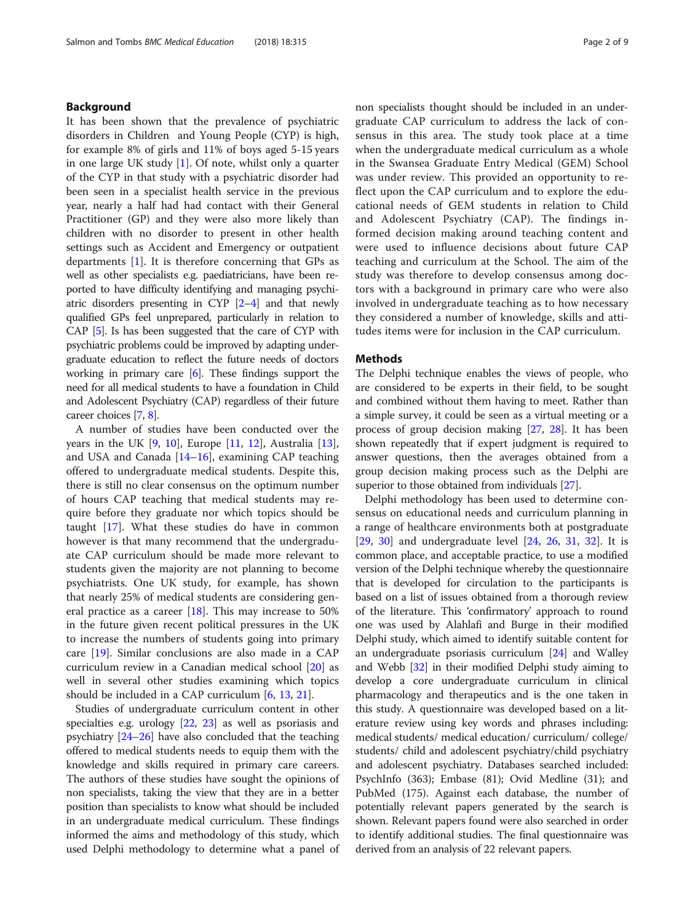# Background

It has been shown that the prevalence of psychiatric disorders in Children and Young People (CYP) is high, for example 8% of girls and 11% of boys aged 5-15 years in one large UK study [\[1](#page-8-0)]. Of note, whilst only a quarter of the CYP in that study with a psychiatric disorder had been seen in a specialist health service in the previous year, nearly a half had had contact with their General Practitioner (GP) and they were also more likely than children with no disorder to present in other health settings such as Accident and Emergency or outpatient departments  $[1]$  $[1]$ . It is therefore concerning that GPs as well as other specialists e.g. paediatricians, have been reported to have difficulty identifying and managing psychiatric disorders presenting in CYP  $[2-4]$  $[2-4]$  $[2-4]$  and that newly qualified GPs feel unprepared, particularly in relation to CAP [\[5\]](#page-8-0). Is has been suggested that the care of CYP with psychiatric problems could be improved by adapting undergraduate education to reflect the future needs of doctors working in primary care [\[6\]](#page-8-0). These findings support the need for all medical students to have a foundation in Child and Adolescent Psychiatry (CAP) regardless of their future career choices [\[7](#page-8-0), [8](#page-8-0)].

A number of studies have been conducted over the years in the UK [[9](#page-8-0), [10](#page-8-0)], Europe [[11,](#page-8-0) [12](#page-8-0)], Australia [\[13](#page-8-0)], and USA and Canada [\[14](#page-8-0)–[16\]](#page-8-0), examining CAP teaching offered to undergraduate medical students. Despite this, there is still no clear consensus on the optimum number of hours CAP teaching that medical students may require before they graduate nor which topics should be taught [\[17](#page-8-0)]. What these studies do have in common however is that many recommend that the undergraduate CAP curriculum should be made more relevant to students given the majority are not planning to become psychiatrists. One UK study, for example, has shown that nearly 25% of medical students are considering general practice as a career  $[18]$  $[18]$  $[18]$ . This may increase to 50% in the future given recent political pressures in the UK to increase the numbers of students going into primary care [\[19\]](#page-8-0). Similar conclusions are also made in a CAP curriculum review in a Canadian medical school [[20\]](#page-8-0) as well in several other studies examining which topics should be included in a CAP curriculum [\[6](#page-8-0), [13](#page-8-0), [21\]](#page-8-0).

Studies of undergraduate curriculum content in other specialties e.g. urology [\[22,](#page-8-0) [23](#page-8-0)] as well as psoriasis and psychiatry [[24](#page-8-0)–[26\]](#page-8-0) have also concluded that the teaching offered to medical students needs to equip them with the knowledge and skills required in primary care careers. The authors of these studies have sought the opinions of non specialists, taking the view that they are in a better position than specialists to know what should be included in an undergraduate medical curriculum. These findings informed the aims and methodology of this study, which used Delphi methodology to determine what a panel of non specialists thought should be included in an undergraduate CAP curriculum to address the lack of consensus in this area. The study took place at a time when the undergraduate medical curriculum as a whole in the Swansea Graduate Entry Medical (GEM) School was under review. This provided an opportunity to reflect upon the CAP curriculum and to explore the educational needs of GEM students in relation to Child and Adolescent Psychiatry (CAP). The findings informed decision making around teaching content and were used to influence decisions about future CAP teaching and curriculum at the School. The aim of the study was therefore to develop consensus among doctors with a background in primary care who were also involved in undergraduate teaching as to how necessary they considered a number of knowledge, skills and attitudes items were for inclusion in the CAP curriculum.

## Methods

The Delphi technique enables the views of people, who are considered to be experts in their field, to be sought and combined without them having to meet. Rather than a simple survey, it could be seen as a virtual meeting or a process of group decision making [[27](#page-8-0), [28\]](#page-8-0). It has been shown repeatedly that if expert judgment is required to answer questions, then the averages obtained from a group decision making process such as the Delphi are superior to those obtained from individuals [\[27](#page-8-0)].

Delphi methodology has been used to determine consensus on educational needs and curriculum planning in a range of healthcare environments both at postgraduate [[29,](#page-8-0) [30](#page-8-0)] and undergraduate level [[24,](#page-8-0) [26](#page-8-0), [31,](#page-8-0) [32](#page-8-0)]. It is common place, and acceptable practice, to use a modified version of the Delphi technique whereby the questionnaire that is developed for circulation to the participants is based on a list of issues obtained from a thorough review of the literature. This 'confirmatory' approach to round one was used by Alahlafi and Burge in their modified Delphi study, which aimed to identify suitable content for an undergraduate psoriasis curriculum [[24](#page-8-0)] and Walley and Webb [\[32\]](#page-8-0) in their modified Delphi study aiming to develop a core undergraduate curriculum in clinical pharmacology and therapeutics and is the one taken in this study. A questionnaire was developed based on a literature review using key words and phrases including: medical students/ medical education/ curriculum/ college/ students/ child and adolescent psychiatry/child psychiatry and adolescent psychiatry. Databases searched included: PsychInfo (363); Embase (81); Ovid Medline (31); and PubMed (175). Against each database, the number of potentially relevant papers generated by the search is shown. Relevant papers found were also searched in order to identify additional studies. The final questionnaire was derived from an analysis of 22 relevant papers.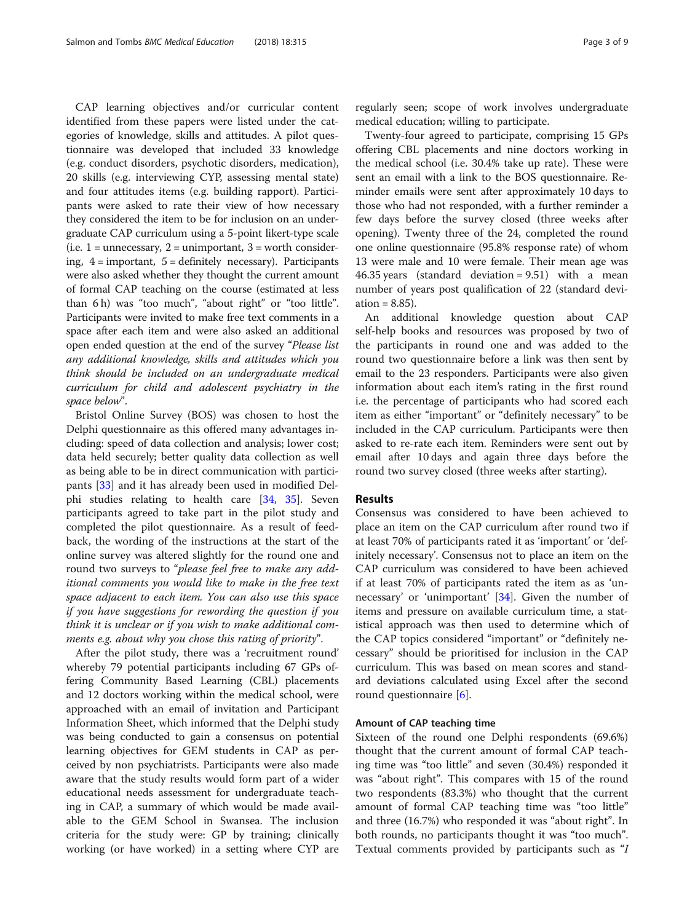CAP learning objectives and/or curricular content identified from these papers were listed under the categories of knowledge, skills and attitudes. A pilot questionnaire was developed that included 33 knowledge (e.g. conduct disorders, psychotic disorders, medication), 20 skills (e.g. interviewing CYP, assessing mental state) and four attitudes items (e.g. building rapport). Participants were asked to rate their view of how necessary they considered the item to be for inclusion on an undergraduate CAP curriculum using a 5-point likert-type scale (i.e.  $1 =$  unnecessary,  $2 =$  unimportant,  $3 =$  worth considering,  $4 =$  important,  $5 =$  definitely necessary). Participants were also asked whether they thought the current amount of formal CAP teaching on the course (estimated at less than 6 h) was "too much", "about right" or "too little". Participants were invited to make free text comments in a space after each item and were also asked an additional open ended question at the end of the survey "Please list any additional knowledge, skills and attitudes which you think should be included on an undergraduate medical curriculum for child and adolescent psychiatry in the space below".

Bristol Online Survey (BOS) was chosen to host the Delphi questionnaire as this offered many advantages including: speed of data collection and analysis; lower cost; data held securely; better quality data collection as well as being able to be in direct communication with participants [\[33](#page-8-0)] and it has already been used in modified Delphi studies relating to health care [\[34](#page-8-0), [35](#page-8-0)]. Seven participants agreed to take part in the pilot study and completed the pilot questionnaire. As a result of feedback, the wording of the instructions at the start of the online survey was altered slightly for the round one and round two surveys to "please feel free to make any additional comments you would like to make in the free text space adjacent to each item. You can also use this space if you have suggestions for rewording the question if you think it is unclear or if you wish to make additional comments e.g. about why you chose this rating of priority".

After the pilot study, there was a 'recruitment round' whereby 79 potential participants including 67 GPs offering Community Based Learning (CBL) placements and 12 doctors working within the medical school, were approached with an email of invitation and Participant Information Sheet, which informed that the Delphi study was being conducted to gain a consensus on potential learning objectives for GEM students in CAP as perceived by non psychiatrists. Participants were also made aware that the study results would form part of a wider educational needs assessment for undergraduate teaching in CAP, a summary of which would be made available to the GEM School in Swansea. The inclusion criteria for the study were: GP by training; clinically working (or have worked) in a setting where CYP are regularly seen; scope of work involves undergraduate medical education; willing to participate.

Twenty-four agreed to participate, comprising 15 GPs offering CBL placements and nine doctors working in the medical school (i.e. 30.4% take up rate). These were sent an email with a link to the BOS questionnaire. Reminder emails were sent after approximately 10 days to those who had not responded, with a further reminder a few days before the survey closed (three weeks after opening). Twenty three of the 24, completed the round one online questionnaire (95.8% response rate) of whom 13 were male and 10 were female. Their mean age was 46.35 years (standard deviation = 9.51) with a mean number of years post qualification of 22 (standard deviation  $= 8.85$ ).

An additional knowledge question about CAP self-help books and resources was proposed by two of the participants in round one and was added to the round two questionnaire before a link was then sent by email to the 23 responders. Participants were also given information about each item's rating in the first round i.e. the percentage of participants who had scored each item as either "important" or "definitely necessary" to be included in the CAP curriculum. Participants were then asked to re-rate each item. Reminders were sent out by email after 10 days and again three days before the round two survey closed (three weeks after starting).

# Results

Consensus was considered to have been achieved to place an item on the CAP curriculum after round two if at least 70% of participants rated it as 'important' or 'definitely necessary'. Consensus not to place an item on the CAP curriculum was considered to have been achieved if at least 70% of participants rated the item as as 'unnecessary' or 'unimportant' [\[34](#page-8-0)]. Given the number of items and pressure on available curriculum time, a statistical approach was then used to determine which of the CAP topics considered "important" or "definitely necessary" should be prioritised for inclusion in the CAP curriculum. This was based on mean scores and standard deviations calculated using Excel after the second round questionnaire [[6\]](#page-8-0).

#### Amount of CAP teaching time

Sixteen of the round one Delphi respondents (69.6%) thought that the current amount of formal CAP teaching time was "too little" and seven (30.4%) responded it was "about right". This compares with 15 of the round two respondents (83.3%) who thought that the current amount of formal CAP teaching time was "too little" and three (16.7%) who responded it was "about right". In both rounds, no participants thought it was "too much". Textual comments provided by participants such as "I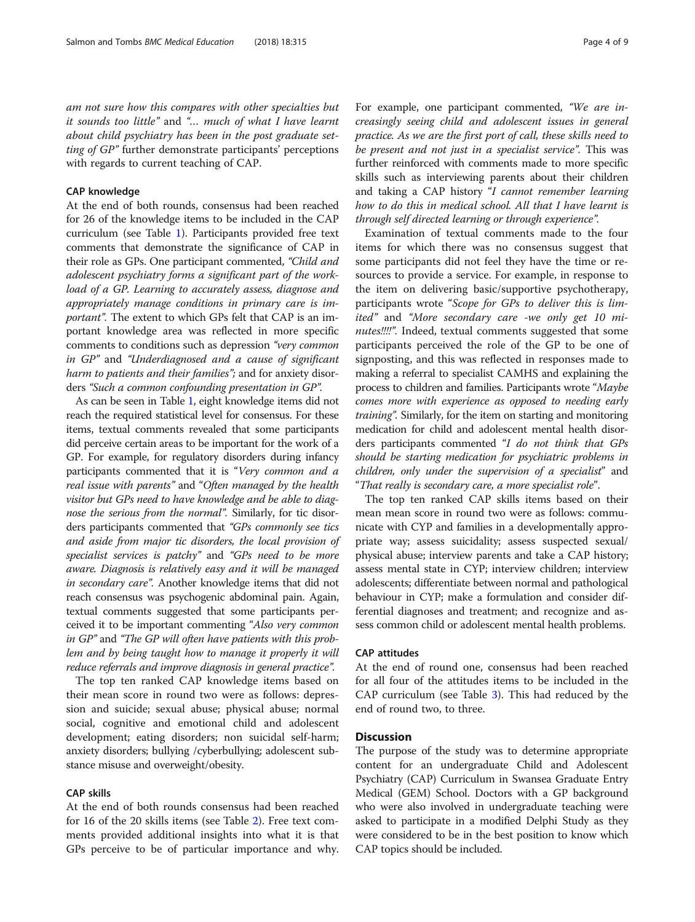with regards to current teaching of CAP.

# CAP knowledge

At the end of both rounds, consensus had been reached for 26 of the knowledge items to be included in the CAP curriculum (see Table [1](#page-4-0)). Participants provided free text comments that demonstrate the significance of CAP in their role as GPs. One participant commented, "Child and adolescent psychiatry forms a significant part of the workload of a GP. Learning to accurately assess, diagnose and appropriately manage conditions in primary care is important". The extent to which GPs felt that CAP is an important knowledge area was reflected in more specific comments to conditions such as depression "very common in GP" and "Underdiagnosed and a cause of significant harm to patients and their families"; and for anxiety disorders "Such a common confounding presentation in GP".

As can be seen in Table [1,](#page-4-0) eight knowledge items did not reach the required statistical level for consensus. For these items, textual comments revealed that some participants did perceive certain areas to be important for the work of a GP. For example, for regulatory disorders during infancy participants commented that it is "Very common and a real issue with parents" and "Often managed by the health visitor but GPs need to have knowledge and be able to diagnose the serious from the normal". Similarly, for tic disorders participants commented that "GPs commonly see tics and aside from major tic disorders, the local provision of specialist services is patchy" and "GPs need to be more aware. Diagnosis is relatively easy and it will be managed in secondary care". Another knowledge items that did not reach consensus was psychogenic abdominal pain. Again, textual comments suggested that some participants perceived it to be important commenting "Also very common in GP" and "The GP will often have patients with this problem and by being taught how to manage it properly it will reduce referrals and improve diagnosis in general practice".

The top ten ranked CAP knowledge items based on their mean score in round two were as follows: depression and suicide; sexual abuse; physical abuse; normal social, cognitive and emotional child and adolescent development; eating disorders; non suicidal self-harm; anxiety disorders; bullying /cyberbullying; adolescent substance misuse and overweight/obesity.

# CAP skills

At the end of both rounds consensus had been reached for 16 of the 20 skills items (see Table [2](#page-5-0)). Free text comments provided additional insights into what it is that GPs perceive to be of particular importance and why. For example, one participant commented, "We are increasingly seeing child and adolescent issues in general practice. As we are the first port of call, these skills need to be present and not just in a specialist service". This was further reinforced with comments made to more specific skills such as interviewing parents about their children and taking a CAP history "I cannot remember learning how to do this in medical school. All that I have learnt is through self directed learning or through experience".

Examination of textual comments made to the four items for which there was no consensus suggest that some participants did not feel they have the time or resources to provide a service. For example, in response to the item on delivering basic/supportive psychotherapy, participants wrote "Scope for GPs to deliver this is limited" and "More secondary care -we only get 10 minutes!!!!". Indeed, textual comments suggested that some participants perceived the role of the GP to be one of signposting, and this was reflected in responses made to making a referral to specialist CAMHS and explaining the process to children and families. Participants wrote "Maybe comes more with experience as opposed to needing early training". Similarly, for the item on starting and monitoring medication for child and adolescent mental health disorders participants commented "I do not think that GPs should be starting medication for psychiatric problems in children, only under the supervision of a specialist" and "That really is secondary care, a more specialist role".

The top ten ranked CAP skills items based on their mean mean score in round two were as follows: communicate with CYP and families in a developmentally appropriate way; assess suicidality; assess suspected sexual/ physical abuse; interview parents and take a CAP history; assess mental state in CYP; interview children; interview adolescents; differentiate between normal and pathological behaviour in CYP; make a formulation and consider differential diagnoses and treatment; and recognize and assess common child or adolescent mental health problems.

# CAP attitudes

At the end of round one, consensus had been reached for all four of the attitudes items to be included in the CAP curriculum (see Table [3](#page-6-0)). This had reduced by the end of round two, to three.

# **Discussion**

The purpose of the study was to determine appropriate content for an undergraduate Child and Adolescent Psychiatry (CAP) Curriculum in Swansea Graduate Entry Medical (GEM) School. Doctors with a GP background who were also involved in undergraduate teaching were asked to participate in a modified Delphi Study as they were considered to be in the best position to know which CAP topics should be included.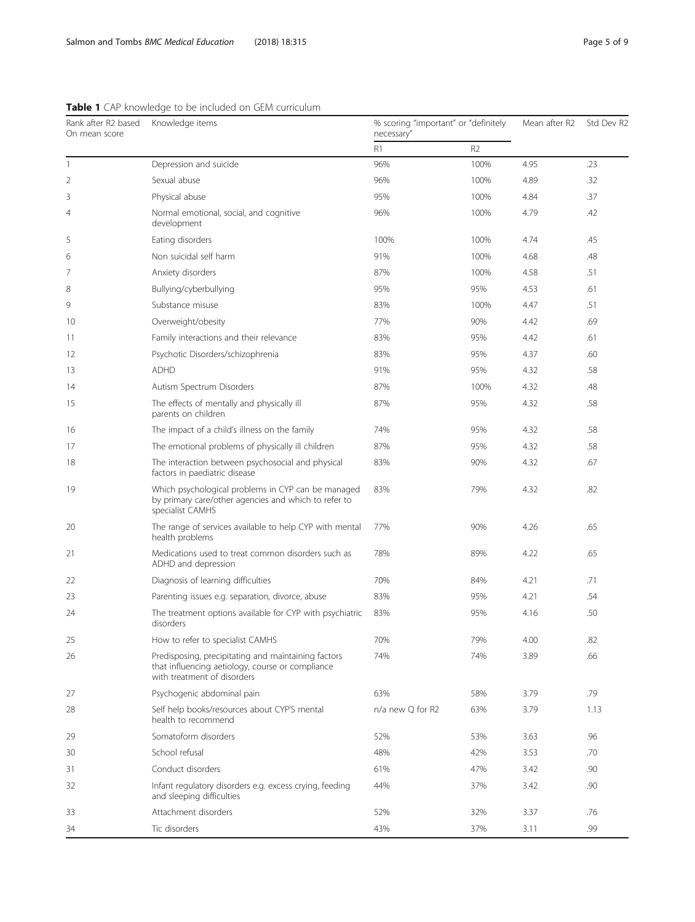| Rank after R2 based<br>On mean score | Knowledge items                                                                                                                        | % scoring "important" or "definitely<br>necessary" |                | Mean after R2 | Std Dev R2 |
|--------------------------------------|----------------------------------------------------------------------------------------------------------------------------------------|----------------------------------------------------|----------------|---------------|------------|
|                                      |                                                                                                                                        | R1                                                 | R <sub>2</sub> |               |            |
| 1                                    | Depression and suicide                                                                                                                 | 96%                                                | 100%           | 4.95          | .23        |
| 2                                    | Sexual abuse                                                                                                                           | 96%                                                | 100%           | 4.89          | .32        |
| 3                                    | Physical abuse                                                                                                                         | 95%                                                | 100%           | 4.84          | .37        |
| $\overline{4}$                       | Normal emotional, social, and cognitive<br>development                                                                                 | 96%                                                | 100%           | 4.79          | .42        |
| 5                                    | Eating disorders                                                                                                                       | 100%                                               | 100%           | 4.74          | .45        |
| 6                                    | Non suicidal self harm                                                                                                                 | 91%                                                | 100%           | 4.68          | .48        |
| 7                                    | Anxiety disorders                                                                                                                      | 87%                                                | 100%           | 4.58          | .51        |
| 8                                    | Bullying/cyberbullying                                                                                                                 | 95%                                                | 95%            | 4.53          | .61        |
| 9                                    | Substance misuse                                                                                                                       | 83%                                                | 100%           | 4.47          | .51        |
| 10                                   | Overweight/obesity                                                                                                                     | 77%                                                | 90%            | 4.42          | .69        |
| 11                                   | Family interactions and their relevance                                                                                                | 83%                                                | 95%            | 4.42          | .61        |
| 12                                   | Psychotic Disorders/schizophrenia                                                                                                      | 83%                                                | 95%            | 4.37          | .60        |
| 13                                   | <b>ADHD</b>                                                                                                                            | 91%                                                | 95%            | 4.32          | .58        |
| 14                                   | Autism Spectrum Disorders                                                                                                              | 87%                                                | 100%           | 4.32          | .48        |
| 15                                   | The effects of mentally and physically ill<br>parents on children                                                                      | 87%                                                | 95%            | 4.32          | .58        |
| 16                                   | The impact of a child's illness on the family                                                                                          | 74%                                                | 95%            | 4.32          | .58        |
| 17                                   | The emotional problems of physically ill children                                                                                      | 87%                                                | 95%            | 4.32          | .58        |
| 18                                   | The interaction between psychosocial and physical<br>factors in paediatric disease                                                     | 83%                                                | 90%            | 4.32          | .67        |
| 19                                   | Which psychological problems in CYP can be managed<br>by primary care/other agencies and which to refer to<br>specialist CAMHS         | 83%                                                | 79%            | 4.32          | .82        |
| 20                                   | The range of services available to help CYP with mental<br>health problems                                                             | 77%                                                | 90%            | 4.26          | .65        |
| 21                                   | Medications used to treat common disorders such as<br>ADHD and depression                                                              | 78%                                                | 89%            | 4.22          | .65        |
| 22                                   | Diagnosis of learning difficulties                                                                                                     | 70%                                                | 84%            | 4.21          | .71        |
| 23                                   | Parenting issues e.g. separation, divorce, abuse                                                                                       | 83%                                                | 95%            | 4.21          | .54        |
| 24                                   | The treatment options available for CYP with psychiatric<br>disorders                                                                  | 83%                                                | 95%            | 4.16          | .50        |
| 25                                   | How to refer to specialist CAMHS                                                                                                       | 70%                                                | 79%            | 4.00          | .82        |
| 26                                   | Predisposing, precipitating and maintaining factors<br>that influencing aetiology, course or compliance<br>with treatment of disorders | 74%                                                | 74%            | 3.89          | .66        |
| 27                                   | Psychogenic abdominal pain                                                                                                             | 63%                                                | 58%            | 3.79          | .79        |
| 28                                   | Self help books/resources about CYP'S mental<br>health to recommend                                                                    | $n/a$ new Q for R2                                 | 63%            | 3.79          | 1.13       |
| 29                                   | Somatoform disorders                                                                                                                   | 52%                                                | 53%            | 3.63          | .96        |
| 30                                   | School refusal                                                                                                                         | 48%                                                | 42%            | 3.53          | .70        |
| 31                                   | Conduct disorders                                                                                                                      | 61%                                                | 47%            | 3.42          | .90        |
| 32                                   | Infant regulatory disorders e.g. excess crying, feeding<br>and sleeping difficulties                                                   | 44%                                                | 37%            | 3.42          | .90        |
| 33                                   | Attachment disorders                                                                                                                   | 52%                                                | 32%            | 3.37          | .76        |
| 34                                   | Tic disorders                                                                                                                          | 43%                                                | 37%            | 3.11          | .99        |

# <span id="page-4-0"></span>Table 1 CAP knowledge to be included on GEM curriculum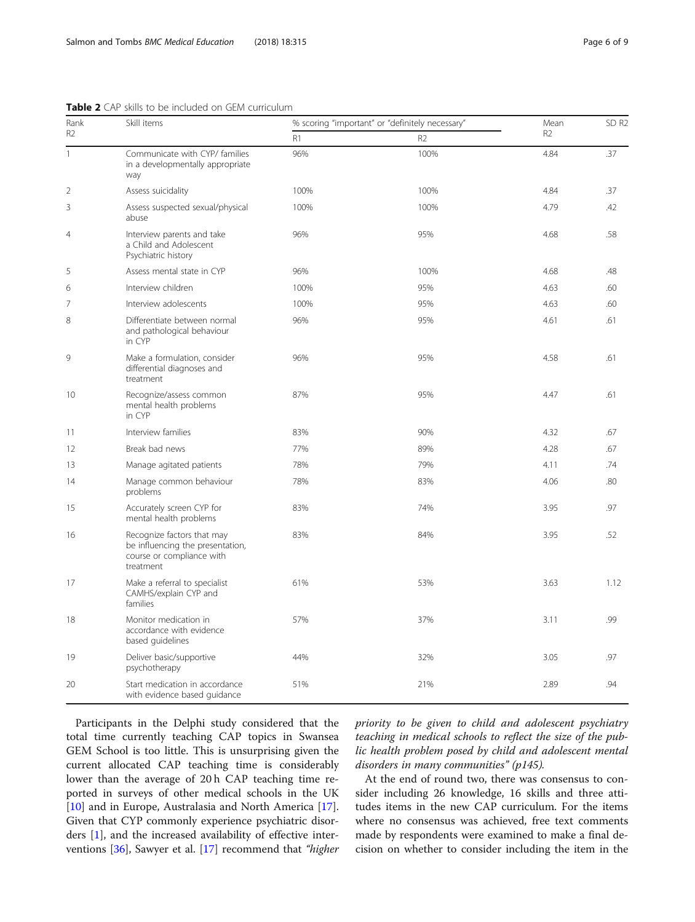| Rank<br>R <sub>2</sub> | Skill items                                                                                              | % scoring "important" or "definitely necessary" |                | Mean | SD <sub>R2</sub> |
|------------------------|----------------------------------------------------------------------------------------------------------|-------------------------------------------------|----------------|------|------------------|
|                        |                                                                                                          | R1                                              | R <sub>2</sub> |      |                  |
| 1                      | Communicate with CYP/ families<br>in a developmentally appropriate<br>way                                | 96%                                             | 100%           | 4.84 | .37              |
| $\overline{2}$         | Assess suicidality                                                                                       | 100%                                            | 100%           | 4.84 | .37              |
| 3                      | Assess suspected sexual/physical<br>abuse                                                                | 100%                                            | 100%           | 4.79 |                  |
| $\overline{4}$         | Interview parents and take<br>a Child and Adolescent<br>Psychiatric history                              | 96%                                             | 95%<br>4.68    |      | .58              |
| 5                      | Assess mental state in CYP                                                                               | 96%                                             | 100%           | 4.68 | .48              |
| 6                      | Interview children                                                                                       | 100%                                            | 95%            | 4.63 | .60              |
| $\overline{7}$         | Interview adolescents                                                                                    | 100%                                            | 95%            | 4.63 | .60              |
| 8                      | Differentiate between normal<br>and pathological behaviour<br>in CYP                                     | 96%                                             | 95%            | 4.61 | .61              |
| 9                      | Make a formulation, consider<br>differential diagnoses and<br>treatment                                  | 96%                                             | 95%            | 4.58 | .61              |
| 10                     | Recognize/assess common<br>mental health problems<br>in CYP                                              | 87%                                             | 95%            | 4.47 | .61              |
| 11                     | Interview families                                                                                       | 83%                                             | 90%            | 4.32 | .67              |
| 12                     | Break bad news                                                                                           | 77%                                             | 89%            | 4.28 | .67              |
| 13                     | Manage agitated patients                                                                                 | 78%                                             | 79%            | 4.11 | .74              |
| 14                     | Manage common behaviour<br>problems                                                                      | 78%                                             | 83%            | 4.06 | .80              |
| 15                     | Accurately screen CYP for<br>mental health problems                                                      | 83%                                             | 74%            | 3.95 |                  |
| 16                     | Recognize factors that may<br>be influencing the presentation,<br>course or compliance with<br>treatment | 83%                                             | 84%            | 3.95 | .52              |
| 17                     | Make a referral to specialist<br>CAMHS/explain CYP and<br>families                                       | 61%                                             | 53%<br>3.63    |      | 1.12             |
| 18                     | Monitor medication in<br>accordance with evidence<br>based quidelines                                    | 57%                                             | 37%<br>3.11    |      | .99              |
| 19                     | Deliver basic/supportive<br>psychotherapy                                                                | 44%                                             | 32%            | 3.05 | .97              |
| 20                     | Start medication in accordance<br>with evidence based guidance                                           | 51%                                             | 21%            | 2.89 | .94              |

# <span id="page-5-0"></span>Table 2 CAP skills to be included on GEM curriculum

Participants in the Delphi study considered that the total time currently teaching CAP topics in Swansea GEM School is too little. This is unsurprising given the current allocated CAP teaching time is considerably lower than the average of 20 h CAP teaching time reported in surveys of other medical schools in the UK [[10\]](#page-8-0) and in Europe, Australasia and North America [\[17](#page-8-0)]. Given that CYP commonly experience psychiatric disorders [[1\]](#page-8-0), and the increased availability of effective interventions [\[36](#page-8-0)], Sawyer et al. [\[17\]](#page-8-0) recommend that "higher priority to be given to child and adolescent psychiatry teaching in medical schools to reflect the size of the public health problem posed by child and adolescent mental disorders in many communities" (p145).

At the end of round two, there was consensus to consider including 26 knowledge, 16 skills and three attitudes items in the new CAP curriculum. For the items where no consensus was achieved, free text comments made by respondents were examined to make a final decision on whether to consider including the item in the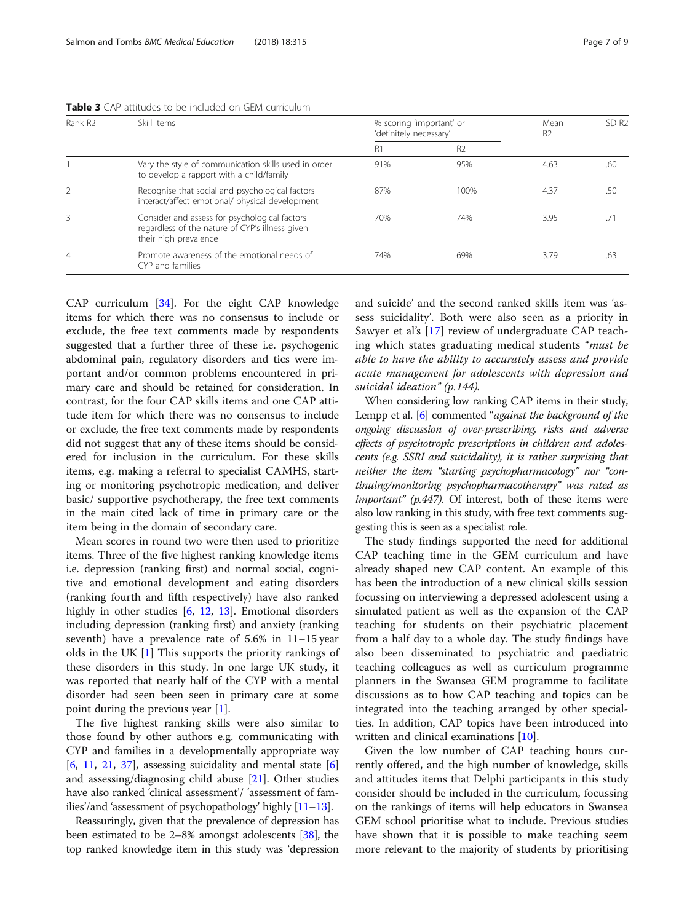| Rank R <sub>2</sub> | Skill items                                                                                                               |     | % scoring 'important' or<br>'definitely necessary' |      | SD <sub>R2</sub> |
|---------------------|---------------------------------------------------------------------------------------------------------------------------|-----|----------------------------------------------------|------|------------------|
|                     |                                                                                                                           | R1  | R <sub>2</sub>                                     |      |                  |
|                     | Vary the style of communication skills used in order<br>to develop a rapport with a child/family                          | 91% | 95%                                                | 4.63 | .60              |
| $\overline{2}$      | Recognise that social and psychological factors<br>interact/affect emotional/ physical development                        | 87% | 100%                                               | 4.37 | .50              |
| 3                   | Consider and assess for psychological factors<br>regardless of the nature of CYP's illness given<br>their high prevalence | 70% | 74%                                                | 3.95 |                  |
| 4                   | Promote awareness of the emotional needs of<br>CYP and families                                                           | 74% | 69%                                                | 3.79 | .63              |

<span id="page-6-0"></span>Table 3 CAP attitudes to be included on GEM curriculum

CAP curriculum [\[34\]](#page-8-0). For the eight CAP knowledge items for which there was no consensus to include or exclude, the free text comments made by respondents suggested that a further three of these i.e. psychogenic abdominal pain, regulatory disorders and tics were important and/or common problems encountered in primary care and should be retained for consideration. In contrast, for the four CAP skills items and one CAP attitude item for which there was no consensus to include or exclude, the free text comments made by respondents did not suggest that any of these items should be considered for inclusion in the curriculum. For these skills items, e.g. making a referral to specialist CAMHS, starting or monitoring psychotropic medication, and deliver basic/ supportive psychotherapy, the free text comments in the main cited lack of time in primary care or the item being in the domain of secondary care.

Mean scores in round two were then used to prioritize items. Three of the five highest ranking knowledge items i.e. depression (ranking first) and normal social, cognitive and emotional development and eating disorders (ranking fourth and fifth respectively) have also ranked highly in other studies [[6,](#page-8-0) [12,](#page-8-0) [13](#page-8-0)]. Emotional disorders including depression (ranking first) and anxiety (ranking seventh) have a prevalence rate of 5.6% in 11–15 year olds in the UK [[1\]](#page-8-0) This supports the priority rankings of these disorders in this study. In one large UK study, it was reported that nearly half of the CYP with a mental disorder had seen been seen in primary care at some point during the previous year [\[1](#page-8-0)].

The five highest ranking skills were also similar to those found by other authors e.g. communicating with CYP and families in a developmentally appropriate way [[6,](#page-8-0) [11](#page-8-0), [21](#page-8-0), [37](#page-8-0)], assessing suicidality and mental state  $[6]$  $[6]$  $[6]$ ] and assessing/diagnosing child abuse [[21\]](#page-8-0). Other studies have also ranked 'clinical assessment'/ 'assessment of families'/and 'assessment of psychopathology' highly [\[11](#page-8-0)–[13](#page-8-0)].

Reassuringly, given that the prevalence of depression has been estimated to be 2–8% amongst adolescents [[38](#page-8-0)], the top ranked knowledge item in this study was 'depression

and suicide' and the second ranked skills item was 'assess suicidality'. Both were also seen as a priority in Sawyer et al's [[17\]](#page-8-0) review of undergraduate CAP teaching which states graduating medical students "must be able to have the ability to accurately assess and provide acute management for adolescents with depression and suicidal ideation" (p.144).

When considering low ranking CAP items in their study, Lempp et al. [[6](#page-8-0)] commented "against the background of the ongoing discussion of over-prescribing, risks and adverse effects of psychotropic prescriptions in children and adolescents (e.g. SSRI and suicidality), it is rather surprising that neither the item "starting psychopharmacology" nor "continuing/monitoring psychopharmacotherapy" was rated as *important" (p.447)*. Of interest, both of these items were also low ranking in this study, with free text comments suggesting this is seen as a specialist role.

The study findings supported the need for additional CAP teaching time in the GEM curriculum and have already shaped new CAP content. An example of this has been the introduction of a new clinical skills session focussing on interviewing a depressed adolescent using a simulated patient as well as the expansion of the CAP teaching for students on their psychiatric placement from a half day to a whole day. The study findings have also been disseminated to psychiatric and paediatric teaching colleagues as well as curriculum programme planners in the Swansea GEM programme to facilitate discussions as to how CAP teaching and topics can be integrated into the teaching arranged by other specialties. In addition, CAP topics have been introduced into written and clinical examinations [[10\]](#page-8-0).

Given the low number of CAP teaching hours currently offered, and the high number of knowledge, skills and attitudes items that Delphi participants in this study consider should be included in the curriculum, focussing on the rankings of items will help educators in Swansea GEM school prioritise what to include. Previous studies have shown that it is possible to make teaching seem more relevant to the majority of students by prioritising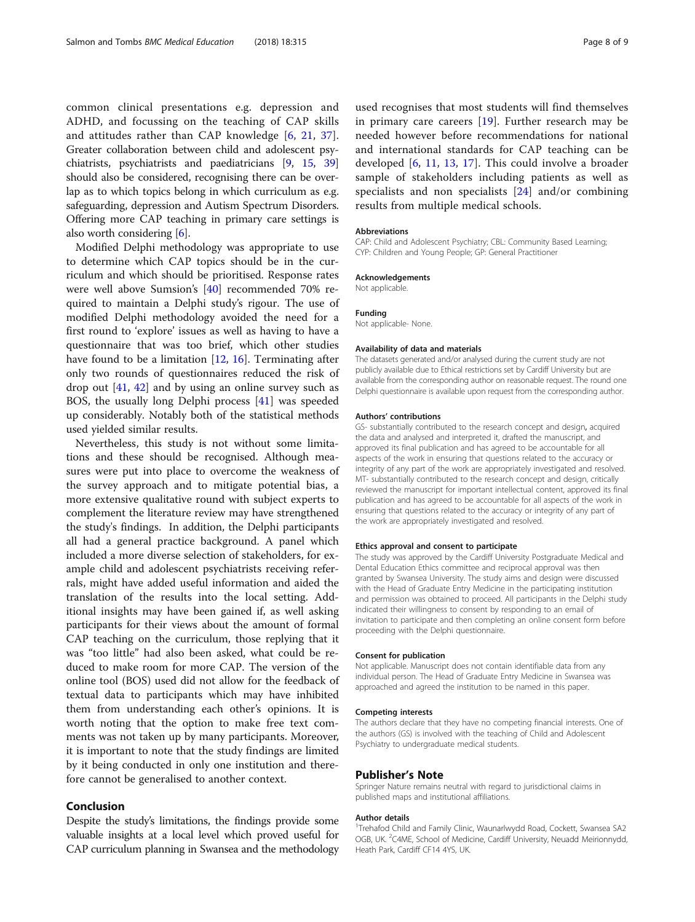common clinical presentations e.g. depression and ADHD, and focussing on the teaching of CAP skills and attitudes rather than CAP knowledge [[6,](#page-8-0) [21](#page-8-0), [37](#page-8-0)]. Greater collaboration between child and adolescent psychiatrists, psychiatrists and paediatricians [\[9,](#page-8-0) [15,](#page-8-0) [39](#page-8-0)] should also be considered, recognising there can be overlap as to which topics belong in which curriculum as e.g. safeguarding, depression and Autism Spectrum Disorders. Offering more CAP teaching in primary care settings is also worth considering [\[6\]](#page-8-0).

Modified Delphi methodology was appropriate to use to determine which CAP topics should be in the curriculum and which should be prioritised. Response rates were well above Sumsion's [\[40](#page-8-0)] recommended 70% required to maintain a Delphi study's rigour. The use of modified Delphi methodology avoided the need for a first round to 'explore' issues as well as having to have a questionnaire that was too brief, which other studies have found to be a limitation [\[12,](#page-8-0) [16](#page-8-0)]. Terminating after only two rounds of questionnaires reduced the risk of drop out  $[41, 42]$  $[41, 42]$  $[41, 42]$  $[41, 42]$  and by using an online survey such as BOS, the usually long Delphi process [[41](#page-8-0)] was speeded up considerably. Notably both of the statistical methods used yielded similar results.

Nevertheless, this study is not without some limitations and these should be recognised. Although measures were put into place to overcome the weakness of the survey approach and to mitigate potential bias, a more extensive qualitative round with subject experts to complement the literature review may have strengthened the study's findings. In addition, the Delphi participants all had a general practice background. A panel which included a more diverse selection of stakeholders, for example child and adolescent psychiatrists receiving referrals, might have added useful information and aided the translation of the results into the local setting. Additional insights may have been gained if, as well asking participants for their views about the amount of formal CAP teaching on the curriculum, those replying that it was "too little" had also been asked, what could be reduced to make room for more CAP. The version of the online tool (BOS) used did not allow for the feedback of textual data to participants which may have inhibited them from understanding each other's opinions. It is worth noting that the option to make free text comments was not taken up by many participants. Moreover, it is important to note that the study findings are limited by it being conducted in only one institution and therefore cannot be generalised to another context.

#### Conclusion

Despite the study's limitations, the findings provide some valuable insights at a local level which proved useful for CAP curriculum planning in Swansea and the methodology used recognises that most students will find themselves in primary care careers [[19\]](#page-8-0). Further research may be needed however before recommendations for national and international standards for CAP teaching can be developed [[6,](#page-8-0) [11,](#page-8-0) [13,](#page-8-0) [17\]](#page-8-0). This could involve a broader sample of stakeholders including patients as well as specialists and non specialists [\[24](#page-8-0)] and/or combining results from multiple medical schools.

#### Abbreviations

CAP: Child and Adolescent Psychiatry; CBL: Community Based Learning; CYP: Children and Young People; GP: General Practitioner

#### Acknowledgements

Not applicable.

#### Funding

Not applicable- None.

#### Availability of data and materials

The datasets generated and/or analysed during the current study are not publicly available due to Ethical restrictions set by Cardiff University but are available from the corresponding author on reasonable request. The round one Delphi questionnaire is available upon request from the corresponding author.

#### Authors' contributions

GS- substantially contributed to the research concept and design, acquired the data and analysed and interpreted it, drafted the manuscript, and approved its final publication and has agreed to be accountable for all aspects of the work in ensuring that questions related to the accuracy or integrity of any part of the work are appropriately investigated and resolved. MT- substantially contributed to the research concept and design, critically reviewed the manuscript for important intellectual content, approved its final publication and has agreed to be accountable for all aspects of the work in ensuring that questions related to the accuracy or integrity of any part of the work are appropriately investigated and resolved.

#### Ethics approval and consent to participate

The study was approved by the Cardiff University Postgraduate Medical and Dental Education Ethics committee and reciprocal approval was then granted by Swansea University. The study aims and design were discussed with the Head of Graduate Entry Medicine in the participating institution and permission was obtained to proceed. All participants in the Delphi study indicated their willingness to consent by responding to an email of invitation to participate and then completing an online consent form before proceeding with the Delphi questionnaire.

#### Consent for publication

Not applicable. Manuscript does not contain identifiable data from any individual person. The Head of Graduate Entry Medicine in Swansea was approached and agreed the institution to be named in this paper.

#### Competing interests

The authors declare that they have no competing financial interests. One of the authors (GS) is involved with the teaching of Child and Adolescent Psychiatry to undergraduate medical students.

#### Publisher's Note

Springer Nature remains neutral with regard to jurisdictional claims in published maps and institutional affiliations.

#### Author details

<sup>1</sup>Trehafod Child and Family Clinic, Waunarlwydd Road, Cockett, Swansea SA2 OGB, UK. <sup>2</sup>C4ME, School of Medicine, Cardiff University, Neuadd Meirionnydd, Heath Park, Cardiff CF14 4YS, UK.